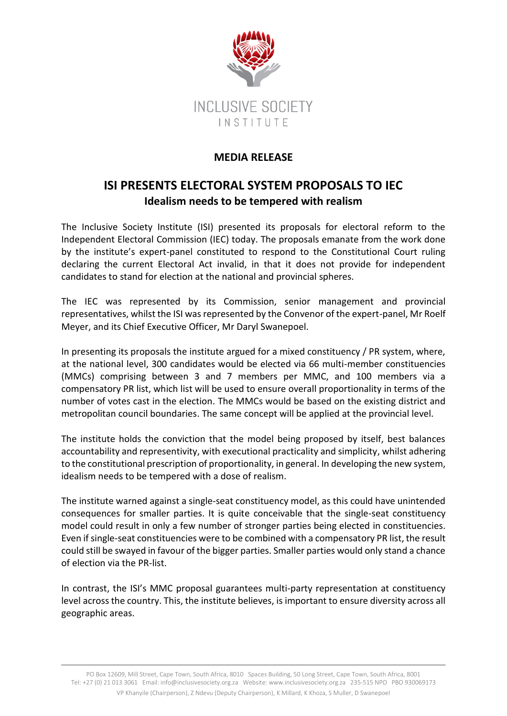

## **MEDIA RELEASE**

## **ISI PRESENTS ELECTORAL SYSTEM PROPOSALS TO IEC Idealism needs to be tempered with realism**

The Inclusive Society Institute (ISI) presented its proposals for electoral reform to the Independent Electoral Commission (IEC) today. The proposals emanate from the work done by the institute's expert-panel constituted to respond to the Constitutional Court ruling declaring the current Electoral Act invalid, in that it does not provide for independent candidates to stand for election at the national and provincial spheres.

The IEC was represented by its Commission, senior management and provincial representatives, whilst the ISI was represented by the Convenor of the expert-panel, Mr Roelf Meyer, and its Chief Executive Officer, Mr Daryl Swanepoel.

In presenting its proposals the institute argued for a mixed constituency / PR system, where, at the national level, 300 candidates would be elected via 66 multi-member constituencies (MMCs) comprising between 3 and 7 members per MMC, and 100 members via a compensatory PR list, which list will be used to ensure overall proportionality in terms of the number of votes cast in the election. The MMCs would be based on the existing district and metropolitan council boundaries. The same concept will be applied at the provincial level.

The institute holds the conviction that the model being proposed by itself, best balances accountability and representivity, with executional practicality and simplicity, whilst adhering to the constitutional prescription of proportionality, in general. In developing the new system, idealism needs to be tempered with a dose of realism.

The institute warned against a single-seat constituency model, as this could have unintended consequences for smaller parties. It is quite conceivable that the single-seat constituency model could result in only a few number of stronger parties being elected in constituencies. Even if single-seat constituencies were to be combined with a compensatory PR list, the result could still be swayed in favour of the bigger parties. Smaller parties would only stand a chance of election via the PR-list.

In contrast, the ISI's MMC proposal guarantees multi-party representation at constituency level across the country. This, the institute believes, is important to ensure diversity across all geographic areas.

PO Box 12609, Mill Street, Cape Town, South Africa, 8010 Spaces Building, 50 Long Street, Cape Town, South Africa, 8001 Tel: +27 (0) 21 013 3061 Email: inf[o@inclusivesociety.org.za](mailto:info@inclusivesociety.org.za) Website: www.inclusivesociety.org.za 235-515 NPO PBO 930069173 VP Khanyile (Chairperson), Z Ndevu (Deputy Chairperson), K Millard, K Khoza, S Muller, D Swanepoel